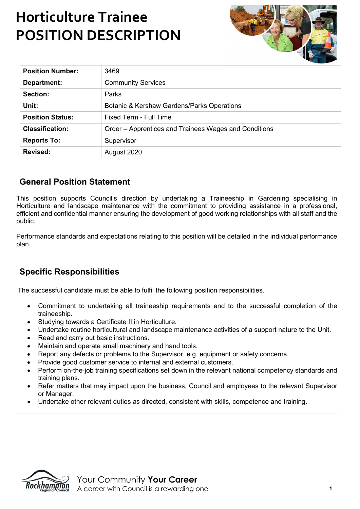# **Horticulture Trainee POSITION DESCRIPTION**



| <b>Position Number:</b> | 3469                                                  |
|-------------------------|-------------------------------------------------------|
| Department:             | <b>Community Services</b>                             |
| Section:                | Parks                                                 |
| Unit:                   | <b>Botanic &amp; Kershaw Gardens/Parks Operations</b> |
| <b>Position Status:</b> | Fixed Term - Full Time                                |
| <b>Classification:</b>  | Order – Apprentices and Trainees Wages and Conditions |
| <b>Reports To:</b>      | Supervisor                                            |
| Revised:                | August 2020                                           |
|                         |                                                       |

## **General Position Statement**

This position supports Council's direction by undertaking a Traineeship in Gardening specialising in Horticulture and landscape maintenance with the commitment to providing assistance in a professional, efficient and confidential manner ensuring the development of good working relationships with all staff and the public.

Performance standards and expectations relating to this position will be detailed in the individual performance plan.

## **Specific Responsibilities**

The successful candidate must be able to fulfil the following position responsibilities.

- Commitment to undertaking all traineeship requirements and to the successful completion of the traineeship.
- Studying towards a Certificate II in Horticulture.
- Undertake routine horticultural and landscape maintenance activities of a support nature to the Unit.
- Read and carry out basic instructions.
- Maintain and operate small machinery and hand tools.
- Report any defects or problems to the Supervisor, e.g. equipment or safety concerns.
- Provide good customer service to internal and external customers.
- Perform on-the-job training specifications set down in the relevant national competency standards and training plans.
- Refer matters that may impact upon the business, Council and employees to the relevant Supervisor or Manager.
- Undertake other relevant duties as directed, consistent with skills, competence and training.

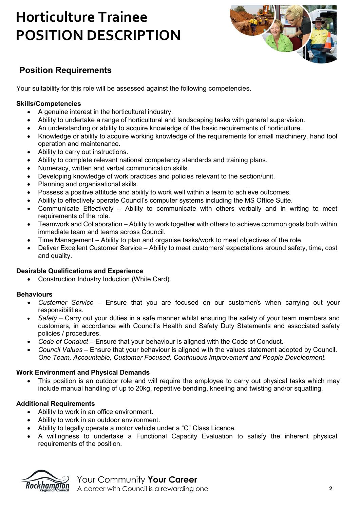# **Horticulture Trainee POSITION DESCRIPTION**



# **Position Requirements**

Your suitability for this role will be assessed against the following competencies.

#### **Skills/Competencies**

- A genuine interest in the horticultural industry.
- Ability to undertake a range of horticultural and landscaping tasks with general supervision.
- An understanding or ability to acquire knowledge of the basic requirements of horticulture.
- Knowledge or ability to acquire working knowledge of the requirements for small machinery, hand tool operation and maintenance.
- Ability to carry out instructions.
- Ability to complete relevant national competency standards and training plans.
- Numeracy, written and verbal communication skills.
- Developing knowledge of work practices and policies relevant to the section/unit.
- Planning and organisational skills.
- Possess a positive attitude and ability to work well within a team to achieve outcomes.
- Ability to effectively operate Council's computer systems including the MS Office Suite.
- Communicate Effectively Ability to communicate with others verbally and in writing to meet requirements of the role.
- Teamwork and Collaboration Ability to work together with others to achieve common goals both within immediate team and teams across Council.
- Time Management Ability to plan and organise tasks/work to meet objectives of the role.
- Deliver Excellent Customer Service Ability to meet customers' expectations around safety, time, cost and quality.

#### **Desirable Qualifications and Experience**

• Construction Industry Induction (White Card).

#### **Behaviours**

- *Customer Service* Ensure that you are focused on our customer/s when carrying out your responsibilities.
- *Safety*  Carry out your duties in a safe manner whilst ensuring the safety of your team members and customers, in accordance with Council's Health and Safety Duty Statements and associated safety policies / procedures.
- *Code of Conduct* Ensure that your behaviour is aligned with the Code of Conduct.
- *Council Values*  Ensure that your behaviour is aligned with the values statement adopted by Council. *One Team, Accountable, Customer Focused, Continuous Improvement and People Development.*

#### **Work Environment and Physical Demands**

This position is an outdoor role and will require the employee to carry out physical tasks which may include manual handling of up to 20kg, repetitive bending, kneeling and twisting and/or squatting.

#### **Additional Requirements**

- Ability to work in an office environment.
- Ability to work in an outdoor environment.
- Ability to legally operate a motor vehicle under a "C" Class Licence.
- A willingness to undertake a Functional Capacity Evaluation to satisfy the inherent physical requirements of the position.



Your Community **Your Career** A career with Council is a rewarding one **2**